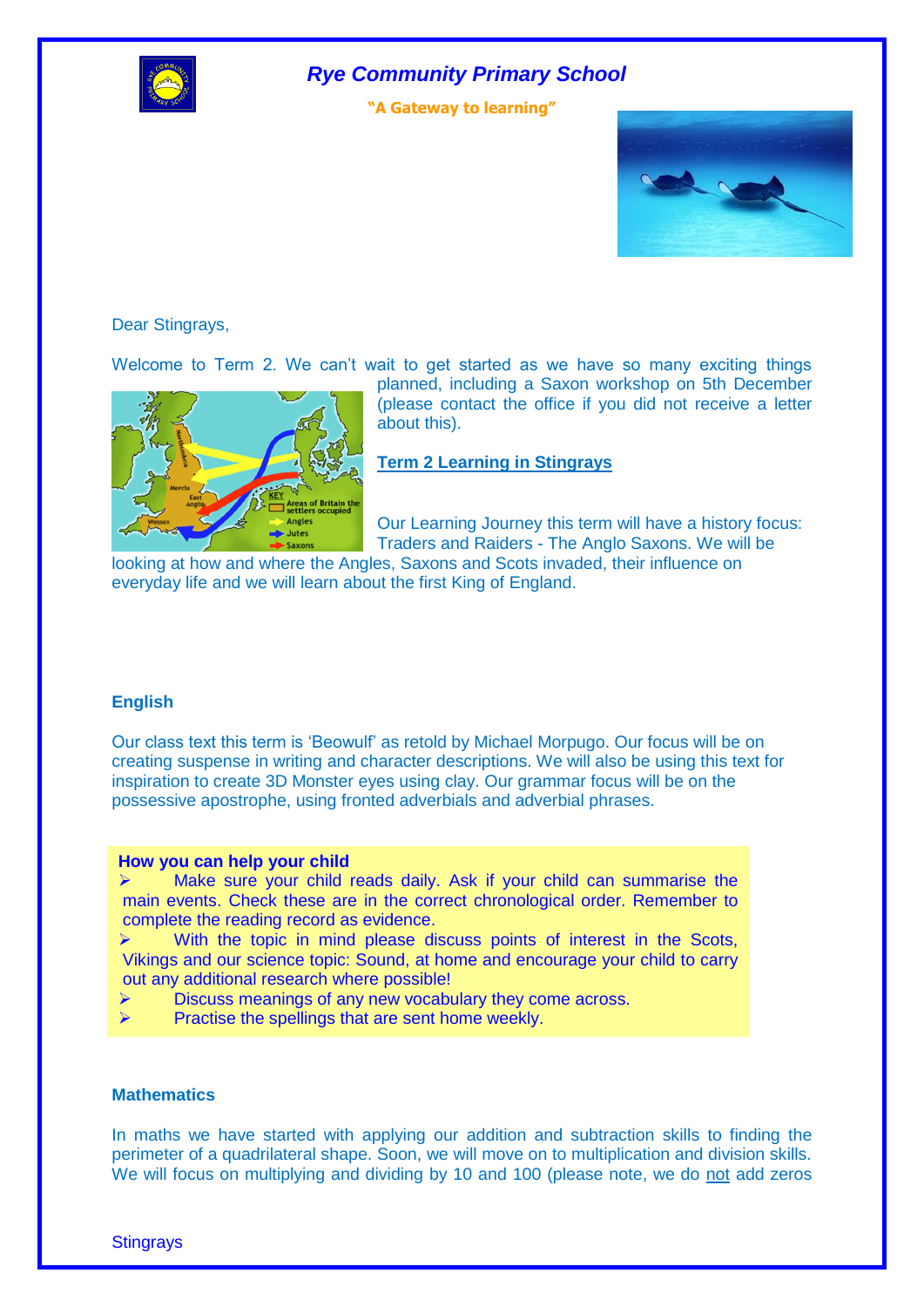

*Rye Community Primary School*

**"A Gateway to learning"**



Dear Stingrays,

Welcome to Term 2. We can't wait to get started as we have so many exciting things



planned, including a Saxon workshop on 5th December (please contact the office if you did not receive a letter about this).

**Term 2 Learning in Stingrays**

Our Learning Journey this term will have a history focus: Traders and Raiders - The Anglo Saxons. We will be

looking at how and where the Angles, Saxons and Scots invaded, their influence on everyday life and we will learn about the first King of England.

#### **English**

Our class text this term is 'Beowulf' as retold by Michael Morpugo. Our focus will be on creating suspense in writing and character descriptions. We will also be using this text for inspiration to create 3D Monster eyes using clay. Our grammar focus will be on the possessive apostrophe, using fronted adverbials and adverbial phrases.

#### **How you can help your child**

 $\triangleright$  Make sure your child reads daily. Ask if your child can summarise the main events. Check these are in the correct chronological order. Remember to complete the reading record as evidence.

 With the topic in mind please discuss points of interest in the Scots, Vikings and our science topic: Sound, at home and encourage your child to carry out any additional research where possible!

- Discuss meanings of any new vocabulary they come across.
- $\triangleright$  Practise the spellings that are sent home weekly.

#### **Mathematics**

In maths we have started with applying our addition and subtraction skills to finding the perimeter of a quadrilateral shape. Soon, we will move on to multiplication and division skills. We will focus on multiplying and dividing by 10 and 100 (please note, we do not add zeros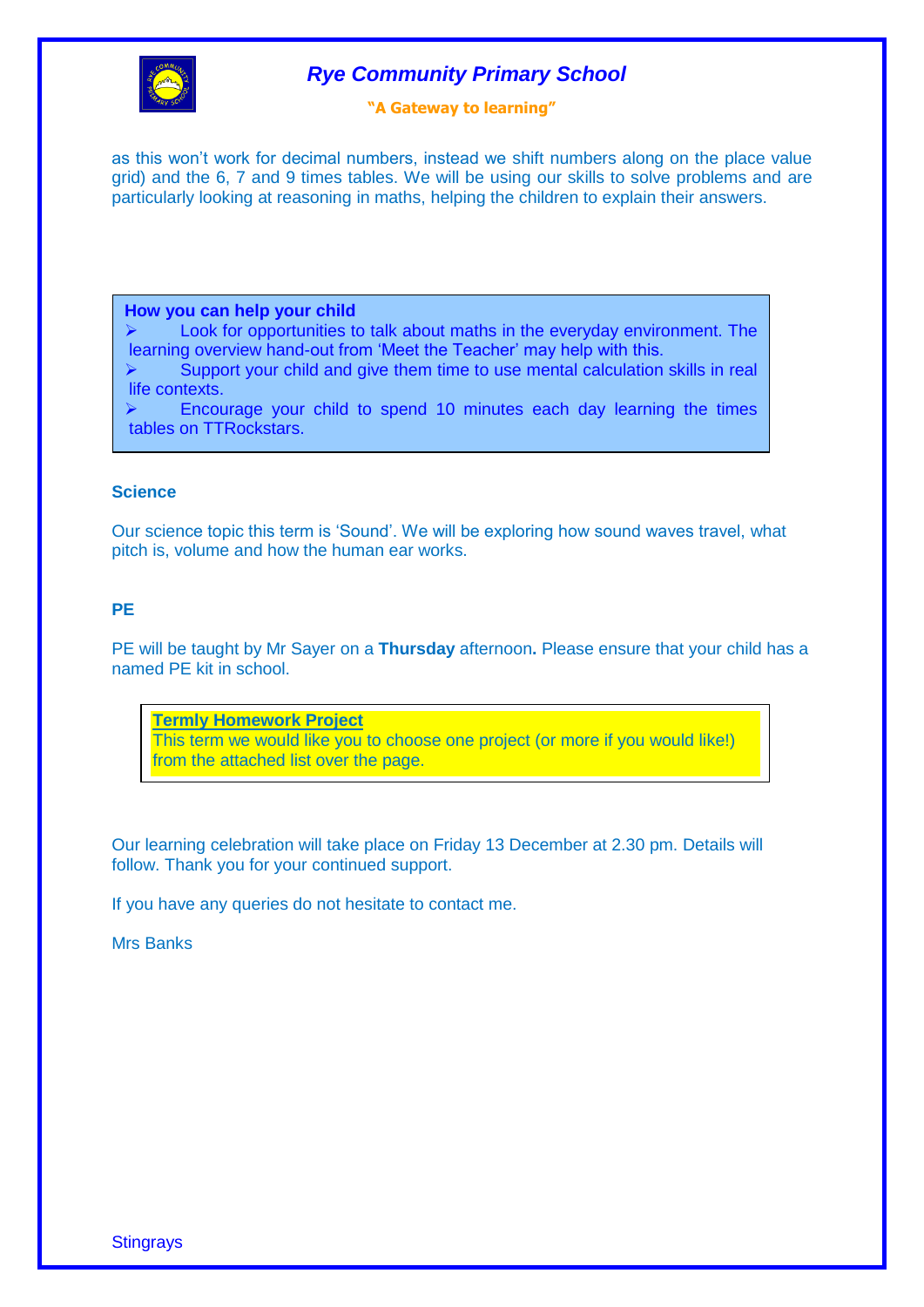

## *Rye Community Primary School*

#### **"A Gateway to learning"**

as this won't work for decimal numbers, instead we shift numbers along on the place value grid) and the 6, 7 and 9 times tables. We will be using our skills to solve problems and are particularly looking at reasoning in maths, helping the children to explain their answers.

#### **How you can help your child**

 $\triangleright$  Look for opportunities to talk about maths in the everyday environment. The learning overview hand-out from 'Meet the Teacher' may help with this.

 $\triangleright$  Support your child and give them time to use mental calculation skills in real life contexts.

 $\triangleright$  Encourage your child to spend 10 minutes each day learning the times tables on TTRockstars.

#### **Science**

Our science topic this term is 'Sound'. We will be exploring how sound waves travel, what pitch is, volume and how the human ear works.

#### **PE**

PE will be taught by Mr Sayer on a **Thursday** afternoon**.** Please ensure that your child has a named PE kit in school.

**Termly Homework Project** This term we would like you to choose one project (or more if you would like!) from the attached list over the page.

Our learning celebration will take place on Friday 13 December at 2.30 pm. Details will follow. Thank you for your continued support.

If you have any queries do not hesitate to contact me.

#### Mrs Banks